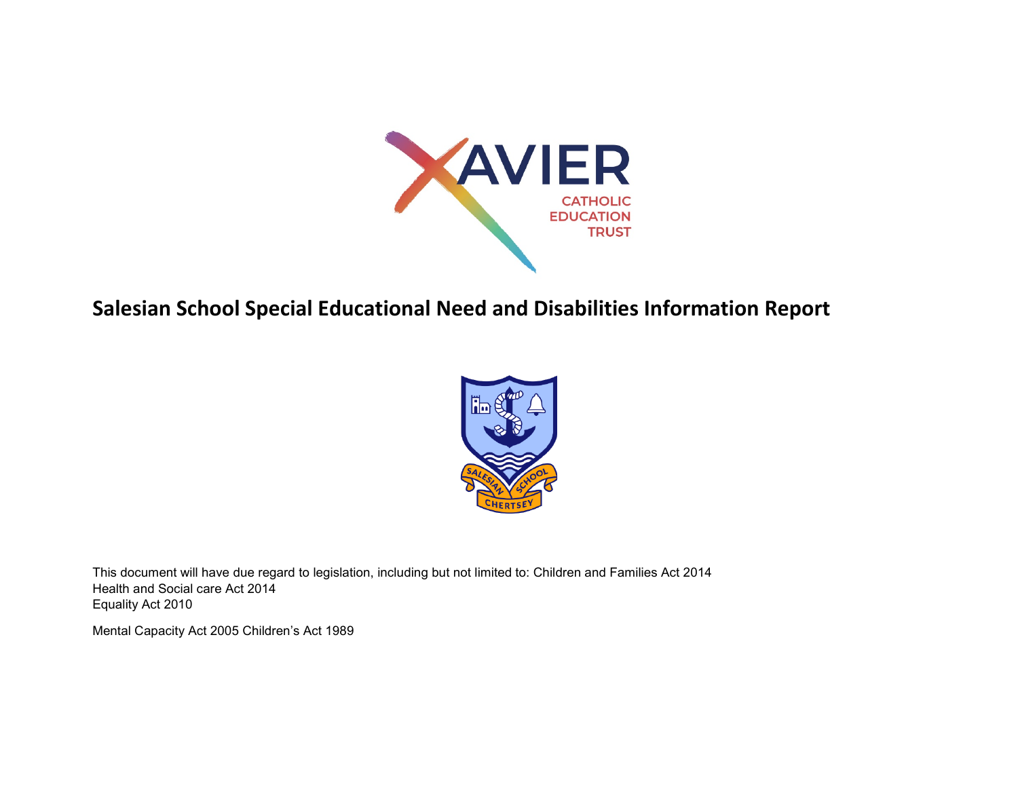

## **Salesian School Special Educational Need and Disabilities Information Report**



This document will have due regard to legislation, including but not limited to: Children and Families Act 2014 Health and Social care Act 2014 Equality Act 2010

Mental Capacity Act 2005 Children's Act 1989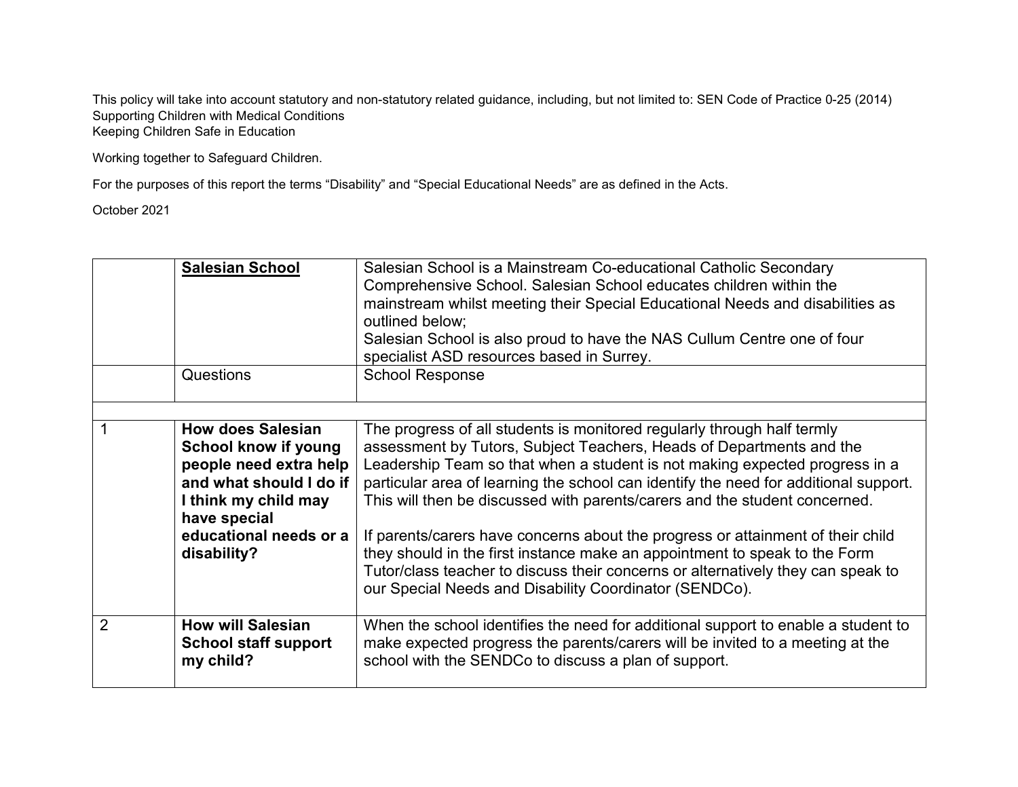This policy will take into account statutory and non-statutory related guidance, including, but not limited to: SEN Code of Practice 0-25 (2014) Supporting Children with Medical Conditions Keeping Children Safe in Education

Working together to Safeguard Children.

For the purposes of this report the terms "Disability" and "Special Educational Needs" are as defined in the Acts.

October 2021

|   | <b>Salesian School</b><br>Questions                                                                                                                                                    | Salesian School is a Mainstream Co-educational Catholic Secondary<br>Comprehensive School. Salesian School educates children within the<br>mainstream whilst meeting their Special Educational Needs and disabilities as<br>outlined below;<br>Salesian School is also proud to have the NAS Cullum Centre one of four<br>specialist ASD resources based in Surrey.                                                                                                                                                                                                                                                                                                                                                 |
|---|----------------------------------------------------------------------------------------------------------------------------------------------------------------------------------------|---------------------------------------------------------------------------------------------------------------------------------------------------------------------------------------------------------------------------------------------------------------------------------------------------------------------------------------------------------------------------------------------------------------------------------------------------------------------------------------------------------------------------------------------------------------------------------------------------------------------------------------------------------------------------------------------------------------------|
|   |                                                                                                                                                                                        | <b>School Response</b>                                                                                                                                                                                                                                                                                                                                                                                                                                                                                                                                                                                                                                                                                              |
|   |                                                                                                                                                                                        |                                                                                                                                                                                                                                                                                                                                                                                                                                                                                                                                                                                                                                                                                                                     |
|   | <b>How does Salesian</b><br>School know if young<br>people need extra help<br>and what should I do if<br>I think my child may<br>have special<br>educational needs or a<br>disability? | The progress of all students is monitored regularly through half termly<br>assessment by Tutors, Subject Teachers, Heads of Departments and the<br>Leadership Team so that when a student is not making expected progress in a<br>particular area of learning the school can identify the need for additional support.<br>This will then be discussed with parents/carers and the student concerned.<br>If parents/carers have concerns about the progress or attainment of their child<br>they should in the first instance make an appointment to speak to the Form<br>Tutor/class teacher to discuss their concerns or alternatively they can speak to<br>our Special Needs and Disability Coordinator (SENDCo). |
| 2 | <b>How will Salesian</b><br><b>School staff support</b><br>my child?                                                                                                                   | When the school identifies the need for additional support to enable a student to<br>make expected progress the parents/carers will be invited to a meeting at the<br>school with the SENDCo to discuss a plan of support.                                                                                                                                                                                                                                                                                                                                                                                                                                                                                          |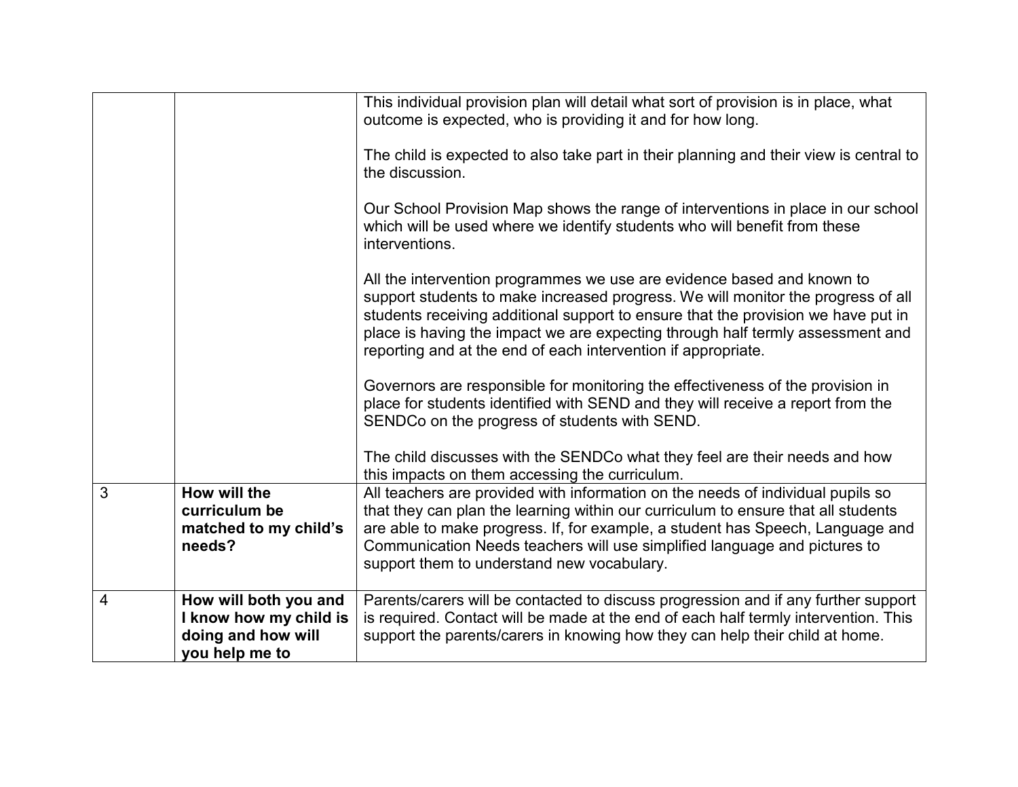|                |                                                                                         | This individual provision plan will detail what sort of provision is in place, what<br>outcome is expected, who is providing it and for how long.                                                                                                                                                                                                                                                  |
|----------------|-----------------------------------------------------------------------------------------|----------------------------------------------------------------------------------------------------------------------------------------------------------------------------------------------------------------------------------------------------------------------------------------------------------------------------------------------------------------------------------------------------|
|                |                                                                                         | The child is expected to also take part in their planning and their view is central to<br>the discussion.                                                                                                                                                                                                                                                                                          |
|                |                                                                                         | Our School Provision Map shows the range of interventions in place in our school<br>which will be used where we identify students who will benefit from these<br>interventions.                                                                                                                                                                                                                    |
|                |                                                                                         | All the intervention programmes we use are evidence based and known to<br>support students to make increased progress. We will monitor the progress of all<br>students receiving additional support to ensure that the provision we have put in<br>place is having the impact we are expecting through half termly assessment and<br>reporting and at the end of each intervention if appropriate. |
|                |                                                                                         | Governors are responsible for monitoring the effectiveness of the provision in<br>place for students identified with SEND and they will receive a report from the<br>SENDCo on the progress of students with SEND.                                                                                                                                                                                 |
|                |                                                                                         | The child discusses with the SENDCo what they feel are their needs and how<br>this impacts on them accessing the curriculum.                                                                                                                                                                                                                                                                       |
| 3              | How will the<br>curriculum be<br>matched to my child's<br>needs?                        | All teachers are provided with information on the needs of individual pupils so<br>that they can plan the learning within our curriculum to ensure that all students<br>are able to make progress. If, for example, a student has Speech, Language and<br>Communication Needs teachers will use simplified language and pictures to<br>support them to understand new vocabulary.                  |
| $\overline{4}$ | How will both you and<br>I know how my child is<br>doing and how will<br>you help me to | Parents/carers will be contacted to discuss progression and if any further support<br>is required. Contact will be made at the end of each half termly intervention. This<br>support the parents/carers in knowing how they can help their child at home.                                                                                                                                          |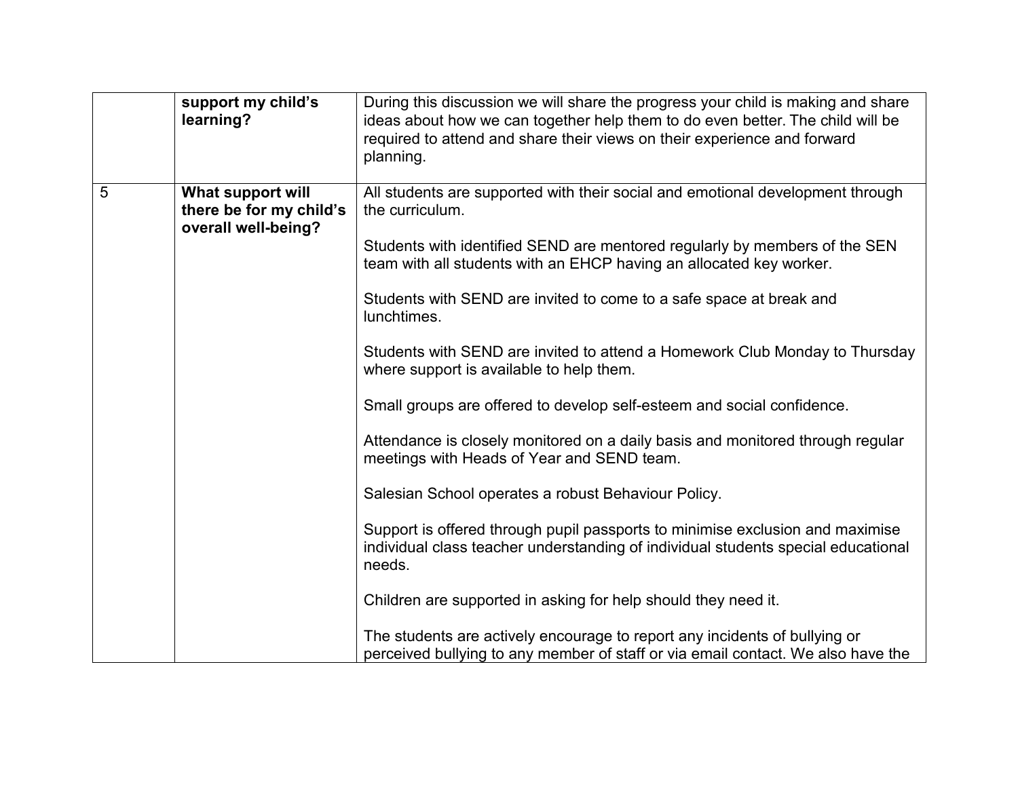|   | support my child's<br>learning?                                     | During this discussion we will share the progress your child is making and share<br>ideas about how we can together help them to do even better. The child will be<br>required to attend and share their views on their experience and forward<br>planning. |
|---|---------------------------------------------------------------------|-------------------------------------------------------------------------------------------------------------------------------------------------------------------------------------------------------------------------------------------------------------|
| 5 | What support will<br>there be for my child's<br>overall well-being? | All students are supported with their social and emotional development through<br>the curriculum.<br>Students with identified SEND are mentored regularly by members of the SEN                                                                             |
|   |                                                                     | team with all students with an EHCP having an allocated key worker.                                                                                                                                                                                         |
|   |                                                                     | Students with SEND are invited to come to a safe space at break and<br>lunchtimes.                                                                                                                                                                          |
|   |                                                                     | Students with SEND are invited to attend a Homework Club Monday to Thursday<br>where support is available to help them.                                                                                                                                     |
|   |                                                                     | Small groups are offered to develop self-esteem and social confidence.                                                                                                                                                                                      |
|   |                                                                     | Attendance is closely monitored on a daily basis and monitored through regular<br>meetings with Heads of Year and SEND team.                                                                                                                                |
|   |                                                                     | Salesian School operates a robust Behaviour Policy.                                                                                                                                                                                                         |
|   |                                                                     | Support is offered through pupil passports to minimise exclusion and maximise<br>individual class teacher understanding of individual students special educational<br>needs.                                                                                |
|   |                                                                     | Children are supported in asking for help should they need it.                                                                                                                                                                                              |
|   |                                                                     | The students are actively encourage to report any incidents of bullying or<br>perceived bullying to any member of staff or via email contact. We also have the                                                                                              |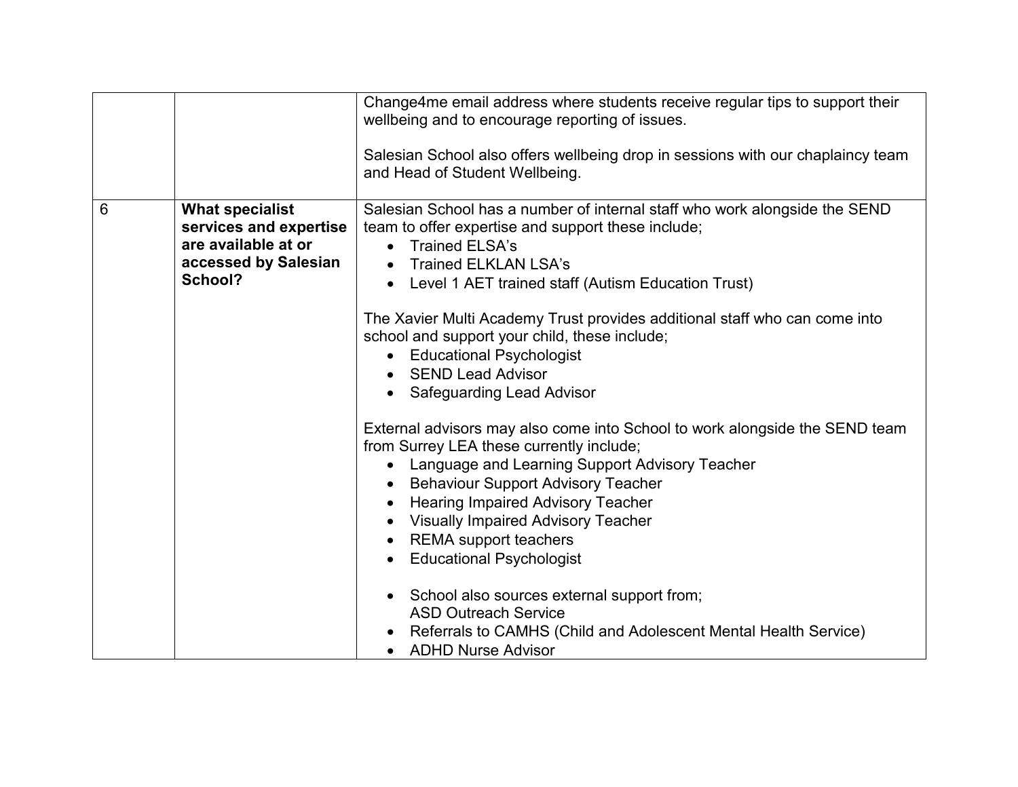|   |                                                                                                            | Change4me email address where students receive regular tips to support their<br>wellbeing and to encourage reporting of issues.<br>Salesian School also offers wellbeing drop in sessions with our chaplaincy team<br>and Head of Student Wellbeing.                                                                                                                                                                                                                                                                                                                                                                                                                                                                                                                                                                                                                                                                                                                                                                                                                                |
|---|------------------------------------------------------------------------------------------------------------|-------------------------------------------------------------------------------------------------------------------------------------------------------------------------------------------------------------------------------------------------------------------------------------------------------------------------------------------------------------------------------------------------------------------------------------------------------------------------------------------------------------------------------------------------------------------------------------------------------------------------------------------------------------------------------------------------------------------------------------------------------------------------------------------------------------------------------------------------------------------------------------------------------------------------------------------------------------------------------------------------------------------------------------------------------------------------------------|
| 6 | <b>What specialist</b><br>services and expertise<br>are available at or<br>accessed by Salesian<br>School? | Salesian School has a number of internal staff who work alongside the SEND<br>team to offer expertise and support these include;<br><b>Trained ELSA's</b><br>$\bullet$<br>Trained ELKLAN LSA's<br>$\bullet$<br>Level 1 AET trained staff (Autism Education Trust)<br>The Xavier Multi Academy Trust provides additional staff who can come into<br>school and support your child, these include;<br><b>Educational Psychologist</b><br><b>SEND Lead Advisor</b><br><b>Safeguarding Lead Advisor</b><br>External advisors may also come into School to work alongside the SEND team<br>from Surrey LEA these currently include;<br>Language and Learning Support Advisory Teacher<br><b>Behaviour Support Advisory Teacher</b><br><b>Hearing Impaired Advisory Teacher</b><br><b>Visually Impaired Advisory Teacher</b><br><b>REMA support teachers</b><br><b>Educational Psychologist</b><br>School also sources external support from;<br>$\bullet$<br><b>ASD Outreach Service</b><br>Referrals to CAMHS (Child and Adolescent Mental Health Service)<br><b>ADHD Nurse Advisor</b> |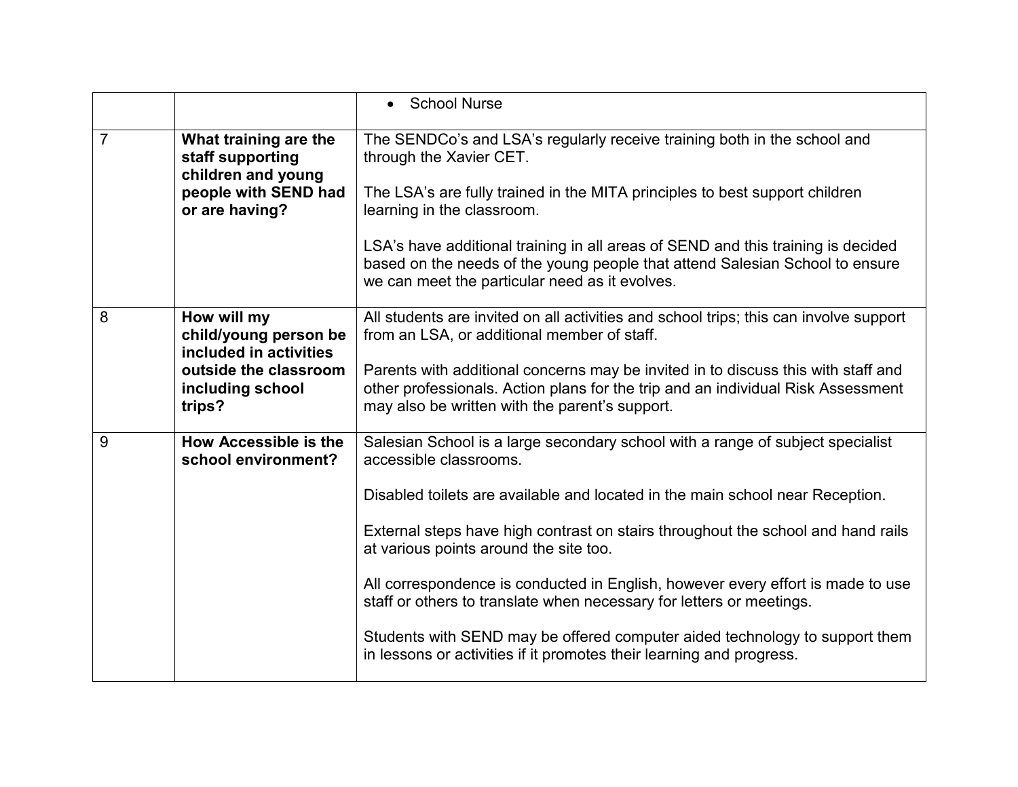|   |                                                                                                                       | • School Nurse                                                                                                                                                                                                                                                                                                                                                                                                                                                                                                                                                                                                                            |
|---|-----------------------------------------------------------------------------------------------------------------------|-------------------------------------------------------------------------------------------------------------------------------------------------------------------------------------------------------------------------------------------------------------------------------------------------------------------------------------------------------------------------------------------------------------------------------------------------------------------------------------------------------------------------------------------------------------------------------------------------------------------------------------------|
| 7 | What training are the<br>staff supporting<br>children and young<br>people with SEND had<br>or are having?             | The SENDCo's and LSA's regularly receive training both in the school and<br>through the Xavier CET.<br>The LSA's are fully trained in the MITA principles to best support children<br>learning in the classroom.<br>LSA's have additional training in all areas of SEND and this training is decided<br>based on the needs of the young people that attend Salesian School to ensure<br>we can meet the particular need as it evolves.                                                                                                                                                                                                    |
| 8 | How will my<br>child/young person be<br>included in activities<br>outside the classroom<br>including school<br>trips? | All students are invited on all activities and school trips; this can involve support<br>from an LSA, or additional member of staff.<br>Parents with additional concerns may be invited in to discuss this with staff and<br>other professionals. Action plans for the trip and an individual Risk Assessment<br>may also be written with the parent's support.                                                                                                                                                                                                                                                                           |
| 9 | How Accessible is the<br>school environment?                                                                          | Salesian School is a large secondary school with a range of subject specialist<br>accessible classrooms.<br>Disabled toilets are available and located in the main school near Reception.<br>External steps have high contrast on stairs throughout the school and hand rails<br>at various points around the site too.<br>All correspondence is conducted in English, however every effort is made to use<br>staff or others to translate when necessary for letters or meetings.<br>Students with SEND may be offered computer aided technology to support them<br>in lessons or activities if it promotes their learning and progress. |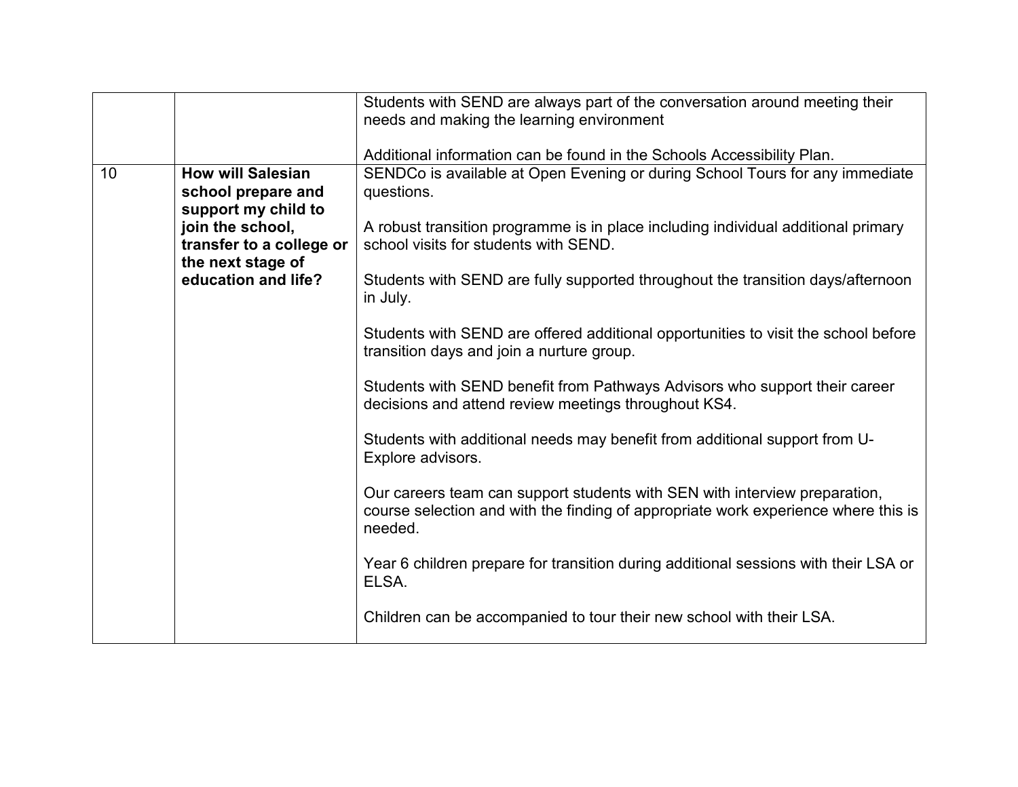|    |                          | Students with SEND are always part of the conversation around meeting their                     |
|----|--------------------------|-------------------------------------------------------------------------------------------------|
|    |                          | needs and making the learning environment                                                       |
|    |                          |                                                                                                 |
|    |                          | Additional information can be found in the Schools Accessibility Plan.                          |
| 10 | <b>How will Salesian</b> | SENDCo is available at Open Evening or during School Tours for any immediate                    |
|    | school prepare and       | questions.                                                                                      |
|    | support my child to      |                                                                                                 |
|    | join the school,         | A robust transition programme is in place including individual additional primary               |
|    | transfer to a college or | school visits for students with SEND.                                                           |
|    | the next stage of        |                                                                                                 |
|    | education and life?      | Students with SEND are fully supported throughout the transition days/afternoon<br>in July.     |
|    |                          |                                                                                                 |
|    |                          | Students with SEND are offered additional opportunities to visit the school before              |
|    |                          | transition days and join a nurture group.                                                       |
|    |                          |                                                                                                 |
|    |                          | Students with SEND benefit from Pathways Advisors who support their career                      |
|    |                          | decisions and attend review meetings throughout KS4.                                            |
|    |                          |                                                                                                 |
|    |                          | Students with additional needs may benefit from additional support from U-<br>Explore advisors. |
|    |                          |                                                                                                 |
|    |                          | Our careers team can support students with SEN with interview preparation,                      |
|    |                          | course selection and with the finding of appropriate work experience where this is              |
|    |                          | needed.                                                                                         |
|    |                          |                                                                                                 |
|    |                          | Year 6 children prepare for transition during additional sessions with their LSA or             |
|    |                          | ELSA.                                                                                           |
|    |                          |                                                                                                 |
|    |                          | Children can be accompanied to tour their new school with their LSA.                            |
|    |                          |                                                                                                 |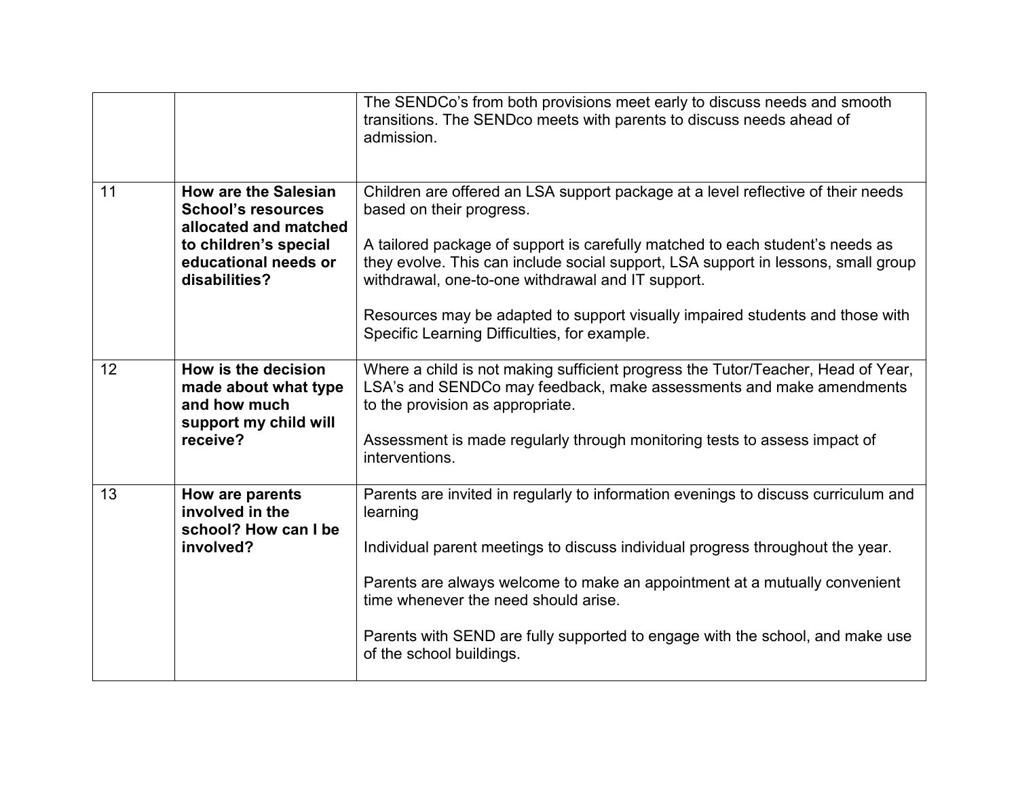|    |                                                                                                                                                     | The SENDCo's from both provisions meet early to discuss needs and smooth<br>transitions. The SENDco meets with parents to discuss needs ahead of<br>admission.                                                                                                                                                                                                                                                                                                           |
|----|-----------------------------------------------------------------------------------------------------------------------------------------------------|--------------------------------------------------------------------------------------------------------------------------------------------------------------------------------------------------------------------------------------------------------------------------------------------------------------------------------------------------------------------------------------------------------------------------------------------------------------------------|
| 11 | <b>How are the Salesian</b><br><b>School's resources</b><br>allocated and matched<br>to children's special<br>educational needs or<br>disabilities? | Children are offered an LSA support package at a level reflective of their needs<br>based on their progress.<br>A tailored package of support is carefully matched to each student's needs as<br>they evolve. This can include social support, LSA support in lessons, small group<br>withdrawal, one-to-one withdrawal and IT support.<br>Resources may be adapted to support visually impaired students and those with<br>Specific Learning Difficulties, for example. |
| 12 | How is the decision<br>made about what type<br>and how much<br>support my child will<br>receive?                                                    | Where a child is not making sufficient progress the Tutor/Teacher, Head of Year,<br>LSA's and SENDCo may feedback, make assessments and make amendments<br>to the provision as appropriate.<br>Assessment is made regularly through monitoring tests to assess impact of<br>interventions.                                                                                                                                                                               |
| 13 | How are parents<br>involved in the<br>school? How can I be<br>involved?                                                                             | Parents are invited in regularly to information evenings to discuss curriculum and<br>learning<br>Individual parent meetings to discuss individual progress throughout the year.<br>Parents are always welcome to make an appointment at a mutually convenient<br>time whenever the need should arise.<br>Parents with SEND are fully supported to engage with the school, and make use<br>of the school buildings.                                                      |